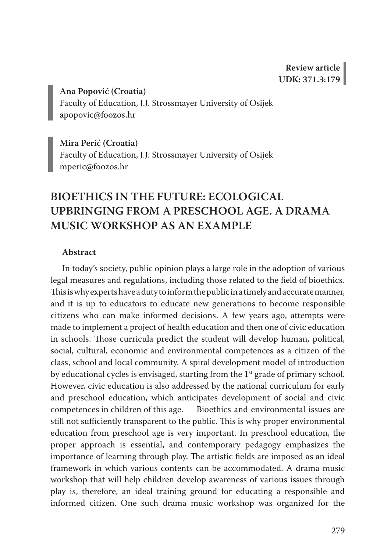**Ana Popović (Croatia)** Faculty of Education, J.J. Strossmayer University of Osijek apopovic@foozos.hr

**Mira Perić (Croatia)** Faculty of Education, J.J. Strossmayer University of Osijek mperic@foozos.hr

# **BIOETHICS IN THE FUTURE: ECOLOGICAL UPBRINGING FROM A PRESCHOOL AGE. A DRAMA MUSIC WORKSHOP AS AN EXAMPLE**

# **Abstract**

In today's society, public opinion plays a large role in the adoption of various legal measures and regulations, including those related to the field of bioethics. This is why experts have a duty to inform the public in a timely and accurate manner, and it is up to educators to educate new generations to become responsible citizens who can make informed decisions. A few years ago, attempts were made to implement a project of health education and then one of civic education in schools. Those curricula predict the student will develop human, political, social, cultural, economic and environmental competences as a citizen of the class, school and local community. A spiral development model of introduction by educational cycles is envisaged, starting from the 1<sup>st</sup> grade of primary school. However, civic education is also addressed by the national curriculum for early and preschool education, which anticipates development of social and civic competences in children of this age. Bioethics and environmental issues are still not sufficiently transparent to the public. This is why proper environmental education from preschool age is very important. In preschool education, the proper approach is essential, and contemporary pedagogy emphasizes the importance of learning through play. The artistic fields are imposed as an ideal framework in which various contents can be accommodated. A drama music workshop that will help children develop awareness of various issues through play is, therefore, an ideal training ground for educating a responsible and informed citizen. One such drama music workshop was organized for the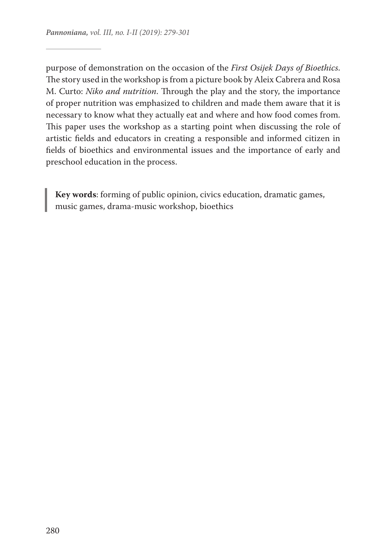purpose of demonstration on the occasion of the *First Osijek Days of Bioethics*. The story used in the workshop is from a picture book by Aleix Cabrera and Rosa M. Curto: *Niko and nutrition*. Through the play and the story, the importance of proper nutrition was emphasized to children and made them aware that it is necessary to know what they actually eat and where and how food comes from. This paper uses the workshop as a starting point when discussing the role of artistic fields and educators in creating a responsible and informed citizen in fields of bioethics and environmental issues and the importance of early and preschool education in the process.

**Key words**: forming of public opinion, civics education, dramatic games, music games, drama-music workshop, bioethics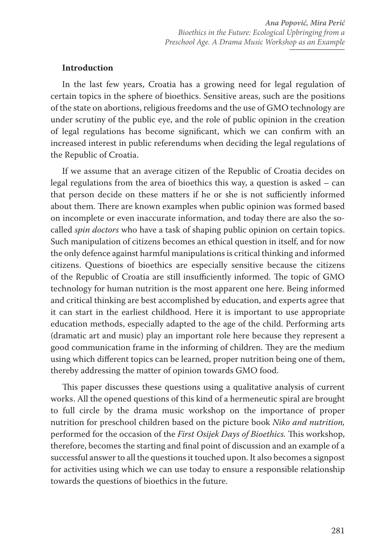#### **Introduction**

In the last few years, Croatia has a growing need for legal regulation of certain topics in the sphere of bioethics. Sensitive areas, such are the positions of the state on abortions, religious freedoms and the use of GMO technology are under scrutiny of the public eye, and the role of public opinion in the creation of legal regulations has become significant, which we can confirm with an increased interest in public referendums when deciding the legal regulations of the Republic of Croatia.

If we assume that an average citizen of the Republic of Croatia decides on legal regulations from the area of bioethics this way, a question is asked – can that person decide on these matters if he or she is not sufficiently informed about them. There are known examples when public opinion was formed based on incomplete or even inaccurate information, and today there are also the socalled *spin doctors* who have a task of shaping public opinion on certain topics. Such manipulation of citizens becomes an ethical question in itself, and for now the only defence against harmful manipulations is critical thinking and informed citizens. Questions of bioethics are especially sensitive because the citizens of the Republic of Croatia are still insufficiently informed. The topic of GMO technology for human nutrition is the most apparent one here. Being informed and critical thinking are best accomplished by education, and experts agree that it can start in the earliest childhood. Here it is important to use appropriate education methods, especially adapted to the age of the child. Performing arts (dramatic art and music) play an important role here because they represent a good communication frame in the informing of children. They are the medium using which different topics can be learned, proper nutrition being one of them, thereby addressing the matter of opinion towards GMO food.

This paper discusses these questions using a qualitative analysis of current works. All the opened questions of this kind of a hermeneutic spiral are brought to full circle by the drama music workshop on the importance of proper nutrition for preschool children based on the picture book *Niko and nutrition,*  performed for the occasion of the *First Osijek Days of Bioethics.* This workshop, therefore, becomes the starting and final point of discussion and an example of a successful answer to all the questions it touched upon. It also becomes a signpost for activities using which we can use today to ensure a responsible relationship towards the questions of bioethics in the future.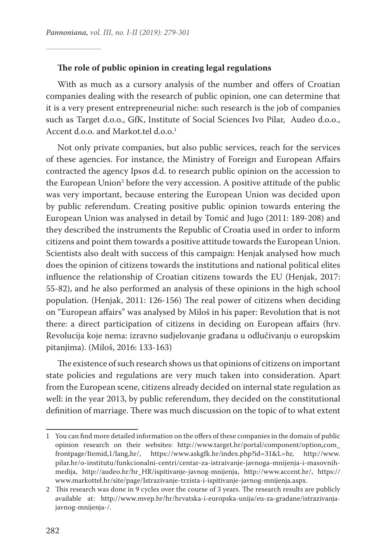#### **The role of public opinion in creating legal regulations**

With as much as a cursory analysis of the number and offers of Croatian companies dealing with the research of public opinion, one can determine that it is a very present entrepreneurial niche: such research is the job of companies such as Target d.o.o., GfK, Institute of Social Sciences Ivo Pilar, Audeo d.o.o., Accent d.o.o. and Markot.tel d.o.o.<sup>1</sup>

Not only private companies, but also public services, reach for the services of these agencies. For instance, the Ministry of Foreign and European Affairs contracted the agency Ipsos d.d. to research public opinion on the accession to the European Union<sup>2</sup> before the very accession. A positive attitude of the public was very important, because entering the European Union was decided upon by public referendum. Creating positive public opinion towards entering the European Union was analysed in detail by Tomić and Jugo (2011: 189-208) and they described the instruments the Republic of Croatia used in order to inform citizens and point them towards a positive attitude towards the European Union. Scientists also dealt with success of this campaign: Henjak analysed how much does the opinion of citizens towards the institutions and national political elites influence the relationship of Croatian citizens towards the EU (Henjak, 2017: 55-82), and he also performed an analysis of these opinions in the high school population. (Henjak, 2011: 126-156) The real power of citizens when deciding on "European affairs" was analysed by Miloš in his paper: Revolution that is not there: a direct participation of citizens in deciding on European affairs (hrv. Revolucija koje nema: izravno sudjelovanje građana u odlučivanju o europskim pitanjima). (Miloš, 2016: 133-163)

The existence of such research shows us that opinions of citizens on important state policies and regulations are very much taken into consideration. Apart from the European scene, citizens already decided on internal state regulation as well: in the year 2013, by public referendum, they decided on the constitutional definition of marriage. There was much discussion on the topic of to what extent

<sup>1</sup> You can find more detailed information on the offers of these companies in the domain of public opinion research on their websites: http://www.target.hr/portal/component/option,com\_ frontpage/Itemid,1/lang,hr/, https://www.askgfk.hr/index.php?id=31&L=hr, http://www. pilar.hr/o-institutu/funkcionalni-centri/centar-za-istraivanje-javnoga-mnijenja-i-masovnihmedija, http://audeo.hr/hr\_HR/ispitivanje-javnog-mnijenja, http://www.accent.hr/, https:// www.markottel.hr/site/page/Istrazivanje-trzista-i-ispitivanje-javnog-mnijenja.aspx.

<sup>2</sup> This research was done in 9 cycles over the course of 3 years. The research results are publicly available at: http://www.mvep.hr/hr/hrvatska-i-europska-unija/eu-za-gradane/istrazivanjajavnog-mnijenja-/.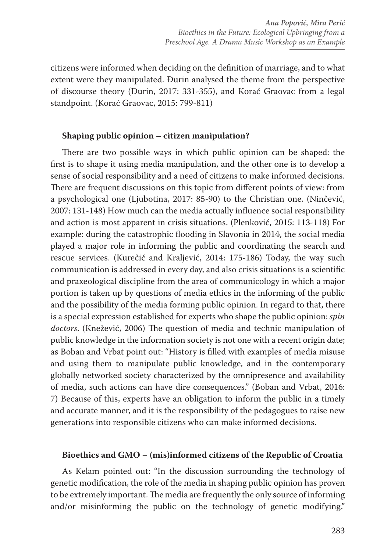citizens were informed when deciding on the definition of marriage, and to what extent were they manipulated. Đurin analysed the theme from the perspective of discourse theory (Đurin, 2017: 331-355), and Korać Graovac from a legal standpoint. (Korać Graovac, 2015: 799-811)

## **Shaping public opinion – citizen manipulation?**

There are two possible ways in which public opinion can be shaped: the first is to shape it using media manipulation, and the other one is to develop a sense of social responsibility and a need of citizens to make informed decisions. There are frequent discussions on this topic from different points of view: from a psychological one (Ljubotina, 2017: 85-90) to the Christian one. (Ninčević, 2007: 131-148) How much can the media actually influence social responsibility and action is most apparent in crisis situations. (Plenković, 2015: 113-118) For example: during the catastrophic flooding in Slavonia in 2014, the social media played a major role in informing the public and coordinating the search and rescue services. (Kurečić and Kraljević, 2014: 175-186) Today, the way such communication is addressed in every day, and also crisis situations is a scientific and praxeological discipline from the area of communicology in which a major portion is taken up by questions of media ethics in the informing of the public and the possibility of the media forming public opinion. In regard to that, there is a special expression established for experts who shape the public opinion: *spin doctors*. (Knežević, 2006) The question of media and technic manipulation of public knowledge in the information society is not one with a recent origin date; as Boban and Vrbat point out: "History is filled with examples of media misuse and using them to manipulate public knowledge, and in the contemporary globally networked society characterized by the omnipresence and availability of media, such actions can have dire consequences." (Boban and Vrbat, 2016: 7) Because of this, experts have an obligation to inform the public in a timely and accurate manner, and it is the responsibility of the pedagogues to raise new generations into responsible citizens who can make informed decisions.

#### **Bioethics and GMO – (mis)informed citizens of the Republic of Croatia**

As Kelam pointed out: "In the discussion surrounding the technology of genetic modification, the role of the media in shaping public opinion has proven to be extremely important. The media are frequently the only source of informing and/or misinforming the public on the technology of genetic modifying."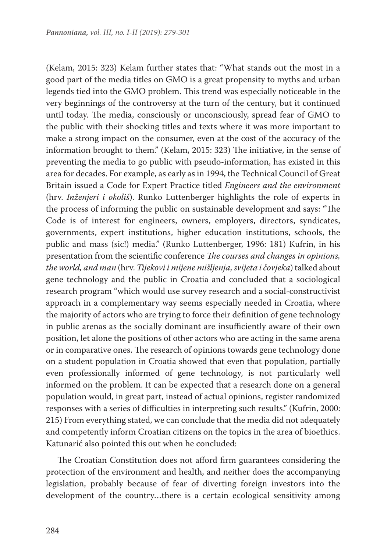(Kelam, 2015: 323) Kelam further states that: "What stands out the most in a good part of the media titles on GMO is a great propensity to myths and urban legends tied into the GMO problem. This trend was especially noticeable in the very beginnings of the controversy at the turn of the century, but it continued until today. The media, consciously or unconsciously, spread fear of GMO to the public with their shocking titles and texts where it was more important to make a strong impact on the consumer, even at the cost of the accuracy of the information brought to them." (Kelam, 2015: 323) The initiative, in the sense of preventing the media to go public with pseudo-information, has existed in this area for decades. For example, as early as in 1994, the Technical Council of Great Britain issued a Code for Expert Practice titled *Engineers and the environment*  (hrv. *Inženjeri i okoliš*). Runko Luttenberger highlights the role of experts in the process of informing the public on sustainable development and says: "The Code is of interest for engineers, owners, employers, directors, syndicates, governments, expert institutions, higher education institutions, schools, the public and mass (sic!) media." (Runko Luttenberger, 1996: 181) Kufrin, in his presentation from the scientific conference *The courses and changes in opinions, the world, and man* (hrv. *Tijekovi i mijene mišljenja, svijeta i čovjeka*) talked about gene technology and the public in Croatia and concluded that a sociological research program "which would use survey research and a social-constructivist approach in a complementary way seems especially needed in Croatia, where the majority of actors who are trying to force their definition of gene technology in public arenas as the socially dominant are insufficiently aware of their own position, let alone the positions of other actors who are acting in the same arena or in comparative ones. The research of opinions towards gene technology done on a student population in Croatia showed that even that population, partially even professionally informed of gene technology, is not particularly well informed on the problem. It can be expected that a research done on a general population would, in great part, instead of actual opinions, register randomized responses with a series of difficulties in interpreting such results." (Kufrin, 2000: 215) From everything stated, we can conclude that the media did not adequately and competently inform Croatian citizens on the topics in the area of bioethics. Katunarić also pointed this out when he concluded:

The Croatian Constitution does not afford firm guarantees considering the protection of the environment and health, and neither does the accompanying legislation, probably because of fear of diverting foreign investors into the development of the country…there is a certain ecological sensitivity among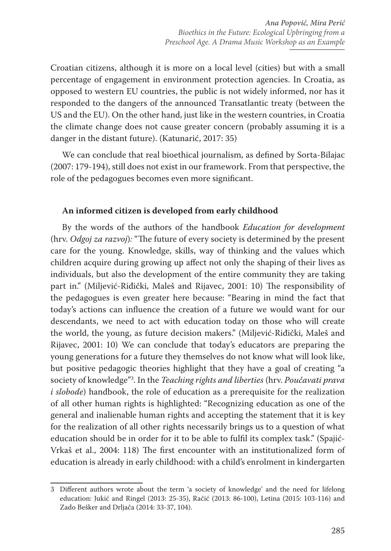Croatian citizens, although it is more on a local level (cities) but with a small percentage of engagement in environment protection agencies. In Croatia, as opposed to western EU countries, the public is not widely informed, nor has it responded to the dangers of the announced Transatlantic treaty (between the US and the EU). On the other hand, just like in the western countries, in Croatia the climate change does not cause greater concern (probably assuming it is a danger in the distant future). (Katunarić, 2017: 35)

We can conclude that real bioethical journalism, as defined by Sorta-Bilajac (2007: 179-194), still does not exist in our framework. From that perspective, the role of the pedagogues becomes even more significant.

# **An informed citizen is developed from early childhood**

By the words of the authors of the handbook *Education for development*  (hrv. *Odgoj za razvoj*)*:* "The future of every society is determined by the present care for the young. Knowledge, skills, way of thinking and the values which children acquire during growing up affect not only the shaping of their lives as individuals, but also the development of the entire community they are taking part in." (Miljević-Riđički, Maleš and Rijavec, 2001: 10) The responsibility of the pedagogues is even greater here because: "Bearing in mind the fact that today's actions can influence the creation of a future we would want for our descendants, we need to act with education today on those who will create the world, the young, as future decision makers." (Miljević-Riđički, Maleš and Rijavec, 2001: 10) We can conclude that today's educators are preparing the young generations for a future they themselves do not know what will look like, but positive pedagogic theories highlight that they have a goal of creating "a society of knowledge"3 . In the *Teaching rights and liberties* (hrv. *Poučavati prava i slobode*) handbook, the role of education as a prerequisite for the realization of all other human rights is highlighted: "Recognizing education as one of the general and inalienable human rights and accepting the statement that it is key for the realization of all other rights necessarily brings us to a question of what education should be in order for it to be able to fulfil its complex task." (Spajić-Vrkaš et al., 2004: 118) The first encounter with an institutionalized form of education is already in early childhood: with a child's enrolment in kindergarten

<sup>3</sup> Different authors wrote about the term 'a society of knowledge' and the need for lifelong education: Jukić and Ringel (2013: 25-35), Račić (2013: 86-100), Letina (2015: 103-116) and Zado Bešker and Drljača (2014: 33-37, 104).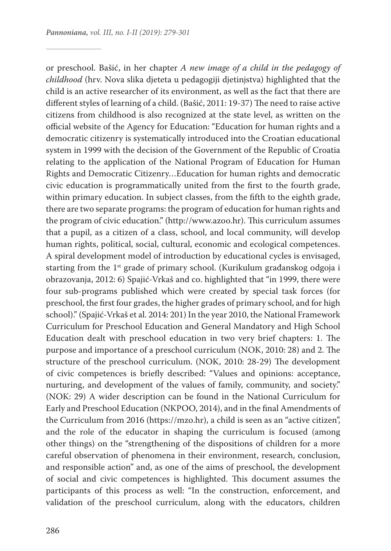or preschool. Bašić, in her chapter *A new image of a child in the pedagogy of childhood* (hrv. Nova slika djeteta u pedagogiji djetinjstva) highlighted that the child is an active researcher of its environment, as well as the fact that there are different styles of learning of a child. (Bašić, 2011: 19-37) The need to raise active citizens from childhood is also recognized at the state level, as written on the official website of the Agency for Education: "Education for human rights and a democratic citizenry is systematically introduced into the Croatian educational system in 1999 with the decision of the Government of the Republic of Croatia relating to the application of the National Program of Education for Human Rights and Democratic Citizenry…Education for human rights and democratic civic education is programmatically united from the first to the fourth grade, within primary education. In subject classes, from the fifth to the eighth grade, there are two separate programs: the program of education for human rights and the program of civic education." (http://www.azoo.hr). This curriculum assumes that a pupil, as a citizen of a class, school, and local community, will develop human rights, political, social, cultural, economic and ecological competences. A spiral development model of introduction by educational cycles is envisaged, starting from the  $1<sup>st</sup>$  grade of primary school. (Kurikulum građanskog odgoja i obrazovanja, 2012: 6) Spajić-Vrkaš and co. highlighted that "in 1999, there were four sub-programs published which were created by special task forces (for preschool, the first four grades, the higher grades of primary school, and for high school)." (Spajić-Vrkaš et al. 2014: 201) In the year 2010, the National Framework Curriculum for Preschool Education and General Mandatory and High School Education dealt with preschool education in two very brief chapters: 1. The purpose and importance of a preschool curriculum (NOK, 2010: 28) and 2. The structure of the preschool curriculum. (NOK, 2010: 28-29) The development of civic competences is briefly described: "Values and opinions: acceptance, nurturing, and development of the values of family, community, and society." (NOK: 29) A wider description can be found in the National Curriculum for Early and Preschool Education (NKPOO, 2014), and in the final Amendments of the Curriculum from 2016 (https://mzo.hr), a child is seen as an "active citizen", and the role of the educator in shaping the curriculum is focused (among other things) on the "strengthening of the dispositions of children for a more careful observation of phenomena in their environment, research, conclusion, and responsible action" and, as one of the aims of preschool, the development of social and civic competences is highlighted. This document assumes the participants of this process as well: "In the construction, enforcement, and validation of the preschool curriculum, along with the educators, children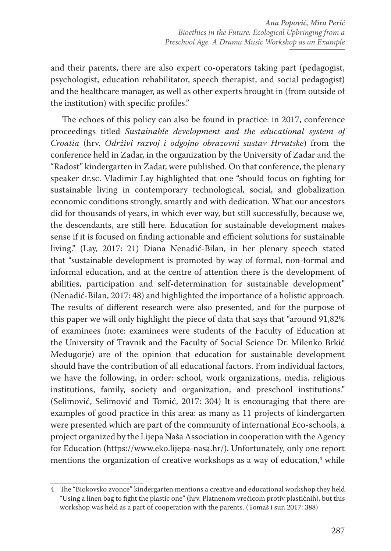and their parents, there are also expert co-operators taking part (pedagogist, psychologist, education rehabilitator, speech therapist, and social pedagogist) and the healthcare manager, as well as other experts brought in (from outside of the institution) with specific profiles."

The echoes of this policy can also be found in practice: in 2017, conference proceedings titled *Sustainable development and the educational system of Croatia* (hrv. *Održivi razvoj i odgojno obrazovni sustav Hrvatske*) from the conference held in Zadar, in the organization by the University of Zadar and the "Radost" kindergarten in Zadar, were published. On that conference, the plenary speaker dr.sc. Vladimir Lay highlighted that one "should focus on fighting for sustainable living in contemporary technological, social, and globalization economic conditions strongly, smartly and with dedication. What our ancestors did for thousands of years, in which ever way, but still successfully, because we, the descendants, are still here. Education for sustainable development makes sense if it is focused on finding actionable and efficient solutions for sustainable living." (Lay, 2017: 21) Diana Nenadić-Bilan, in her plenary speech stated that "sustainable development is promoted by way of formal, non-formal and informal education, and at the centre of attention there is the development of abilities, participation and self-determination for sustainable development" (Nenadić-Bilan, 2017: 48) and highlighted the importance of a holistic approach. The results of different research were also presented, and for the purpose of this paper we will only highlight the piece of data that says that "around 91,82% of examinees (note: examinees were students of the Faculty of Education at the University of Travnik and the Faculty of Social Science Dr. Milenko Brkić Međugorje) are of the opinion that education for sustainable development should have the contribution of all educational factors. From individual factors, we have the following, in order: school, work organizations, media, religious institutions, family, society and organization, and preschool institutions." (Selimović, Selimović and Tomić, 2017: 304) It is encouraging that there are examples of good practice in this area: as many as 11 projects of kindergarten were presented which are part of the community of international Eco-schools, a project organized by the Lijepa Naša Association in cooperation with the Agency for Education (https://www.eko.lijepa-nasa.hr/). Unfortunately, only one report mentions the organization of creative workshops as a way of education,<sup>4</sup> while

<sup>4</sup> The "Biokovsko zvonce" kindergarten mentions a creative and educational workshop they held "Using a linen bag to fight the plastic one" (hrv. Platnenom vrećicom protiv plastičnih), but this workshop was held as a part of cooperation with the parents. (Tomaš i sur, 2017: 388)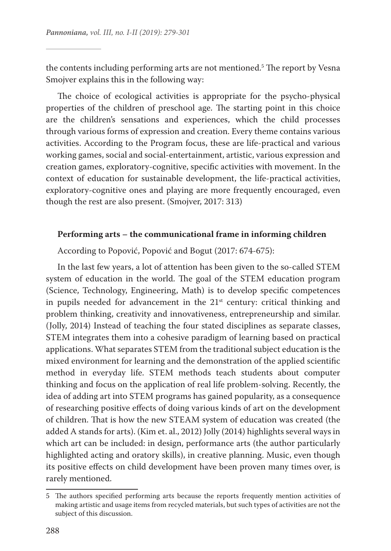the contents including performing arts are not mentioned.5 The report by Vesna Smojver explains this in the following way:

The choice of ecological activities is appropriate for the psycho-physical properties of the children of preschool age. The starting point in this choice are the children's sensations and experiences, which the child processes through various forms of expression and creation. Every theme contains various activities. According to the Program focus, these are life-practical and various working games, social and social-entertainment, artistic, various expression and creation games, exploratory-cognitive, specific activities with movement. In the context of education for sustainable development, the life-practical activities, exploratory-cognitive ones and playing are more frequently encouraged, even though the rest are also present. (Smojver, 2017: 313)

#### **Performing arts – the communicational frame in informing children**

According to Popović, Popović and Bogut (2017: 674-675):

In the last few years, a lot of attention has been given to the so-called STEM system of education in the world. The goal of the STEM education program (Science, Technology, Engineering, Math) is to develop specific competences in pupils needed for advancement in the  $21<sup>st</sup>$  century: critical thinking and problem thinking, creativity and innovativeness, entrepreneurship and similar. (Jolly, 2014) Instead of teaching the four stated disciplines as separate classes, STEM integrates them into a cohesive paradigm of learning based on practical applications. What separates STEM from the traditional subject education is the mixed environment for learning and the demonstration of the applied scientific method in everyday life. STEM methods teach students about computer thinking and focus on the application of real life problem-solving. Recently, the idea of adding art into STEM programs has gained popularity, as a consequence of researching positive effects of doing various kinds of art on the development of children. That is how the new STEAM system of education was created (the added A stands for arts). (Kim et. al., 2012) Jolly (2014) highlights several ways in which art can be included: in design, performance arts (the author particularly highlighted acting and oratory skills), in creative planning. Music, even though its positive effects on child development have been proven many times over, is rarely mentioned.

<sup>5</sup> The authors specified performing arts because the reports frequently mention activities of making artistic and usage items from recycled materials, but such types of activities are not the subject of this discussion.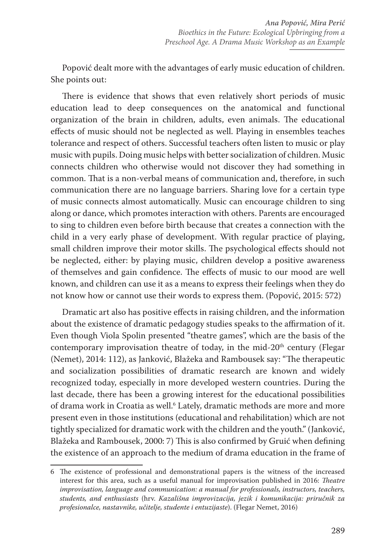Popović dealt more with the advantages of early music education of children. She points out:

There is evidence that shows that even relatively short periods of music education lead to deep consequences on the anatomical and functional organization of the brain in children, adults, even animals. The educational effects of music should not be neglected as well. Playing in ensembles teaches tolerance and respect of others. Successful teachers often listen to music or play music with pupils. Doing music helps with better socialization of children. Music connects children who otherwise would not discover they had something in common. That is a non-verbal means of communication and, therefore, in such communication there are no language barriers. Sharing love for a certain type of music connects almost automatically. Music can encourage children to sing along or dance, which promotes interaction with others. Parents are encouraged to sing to children even before birth because that creates a connection with the child in a very early phase of development. With regular practice of playing, small children improve their motor skills. The psychological effects should not be neglected, either: by playing music, children develop a positive awareness of themselves and gain confidence. The effects of music to our mood are well known, and children can use it as a means to express their feelings when they do not know how or cannot use their words to express them. (Popović, 2015: 572)

Dramatic art also has positive effects in raising children, and the information about the existence of dramatic pedagogy studies speaks to the affirmation of it. Even though Viola Spolin presented "theatre games", which are the basis of the contemporary improvisation theatre of today, in the mid-20<sup>th</sup> century (Flegar (Nemet), 2014: 112), as Janković, Blažeka and Rambousek say: "The therapeutic and socialization possibilities of dramatic research are known and widely recognized today, especially in more developed western countries. During the last decade, there has been a growing interest for the educational possibilities of drama work in Croatia as well.6 Lately, dramatic methods are more and more present even in those institutions (educational and rehabilitation) which are not tightly specialized for dramatic work with the children and the youth." (Janković, Blažeka and Rambousek, 2000: 7) This is also confirmed by Gruić when defining the existence of an approach to the medium of drama education in the frame of

<sup>6</sup> The existence of professional and demonstrational papers is the witness of the increased interest for this area, such as a useful manual for improvisation published in 2016: *Theatre improvisation, language and communication: a manual for professionals, instructors, teachers, students, and enthusiasts* (hrv. *Kazališna improvizacija, jezik i komunikacija: priručnik za profesionalce, nastavnike, učitelje, studente i entuzijaste*). (Flegar Nemet, 2016)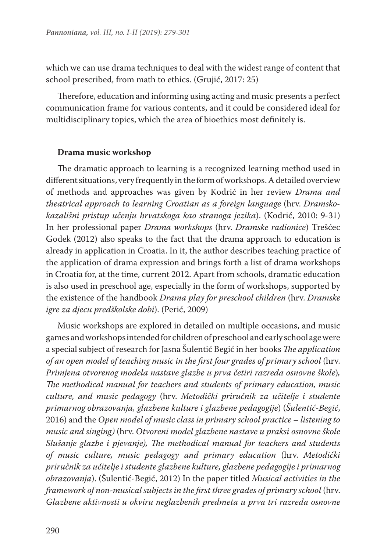which we can use drama techniques to deal with the widest range of content that school prescribed, from math to ethics. (Grujić, 2017: 25)

Therefore, education and informing using acting and music presents a perfect communication frame for various contents, and it could be considered ideal for multidisciplinary topics, which the area of bioethics most definitely is.

#### **Drama music workshop**

The dramatic approach to learning is a recognized learning method used in different situations, very frequently in the form of workshops. A detailed overview of methods and approaches was given by Kodrić in her review *Drama and theatrical approach to learning Croatian as a foreign language* (hrv. *Dramskokazališni pristup učenju hrvatskoga kao stranoga jezika*). (Kodrić, 2010: 9-31) In her professional paper *Drama workshops* (hrv. *Dramske radionice*) Trešćec Godek (2012) also speaks to the fact that the drama approach to education is already in application in Croatia. In it, the author describes teaching practice of the application of drama expression and brings forth a list of drama workshops in Croatia for, at the time, current 2012. Apart from schools, dramatic education is also used in preschool age, especially in the form of workshops, supported by the existence of the handbook *Drama play for preschool children* (hrv. *Dramske igre za djecu predškolske dobi*). (Perić, 2009)

Music workshops are explored in detailed on multiple occasions, and music games and workshops intended for children of preschool and early school age were a special subject of research for Jasna Šulentić Begić in her books *The application of an open model of teaching music in the first four grades of primary school* (hrv. *Primjena otvorenog modela nastave glazbe u prva četiri razreda osnovne škole*)*, The methodical manual for teachers and students of primary education, music culture, and music pedagogy* (hrv. *Metodički priručnik za učitelje i studente primarnog obrazovanja, glazbene kulture i glazbene pedagogije*) (*Šulentić-Begić*, 2016) and the *Open model of music class in primary school practice – listening to music and singing)* (hrv. *Otvoreni model glazbene nastave u praksi osnovne škole Slušanje glazbe i pjevanje), The methodical manual for teachers and students of music culture, music pedagogy and primary education* (hrv. *Metodički priručnik za učitelje i studente glazbene kulture, glazbene pedagogije i primarnog obrazovanja*). (Šulentić-Begić, 2012) In the paper titled *Musical activities in the framework of non-musical subjects in the first three grades of primary school* (hrv. *Glazbene aktivnosti u okviru neglazbenih predmeta u prva tri razreda osnovne*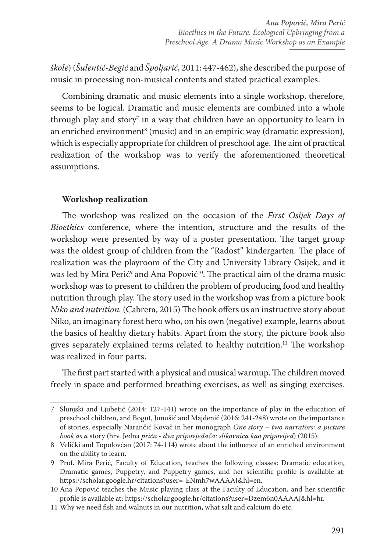*škole*) (*Šulentić-Begić* and *Špoljarić*, 2011: 447-462), she described the purpose of music in processing non-musical contents and stated practical examples.

Combining dramatic and music elements into a single workshop, therefore, seems to be logical. Dramatic and music elements are combined into a whole through play and story $^\tau$  in a way that children have an opportunity to learn in an enriched environment<sup>8</sup> (music) and in an empiric way (dramatic expression), which is especially appropriate for children of preschool age. The aim of practical realization of the workshop was to verify the aforementioned theoretical assumptions.

# **Workshop realization**

The workshop was realized on the occasion of the *First Osijek Days of Bioethics* conference, where the intention, structure and the results of the workshop were presented by way of a poster presentation. The target group was the oldest group of children from the "Radost" kindergarten. The place of realization was the playroom of the City and University Library Osijek, and it was led by Mira Perić<sup>9</sup> and Ana Popović<sup>10</sup>. The practical aim of the drama music workshop was to present to children the problem of producing food and healthy nutrition through play. The story used in the workshop was from a picture book *Niko and nutrition.* (Cabrera, 2015) The book offers us an instructive story about Niko, an imaginary forest hero who, on his own (negative) example, learns about the basics of healthy dietary habits. Apart from the story, the picture book also gives separately explained terms related to healthy nutrition.<sup>11</sup> The workshop was realized in four parts.

The first part started with a physical and musical warmup. The children moved freely in space and performed breathing exercises, as well as singing exercises.

<sup>7</sup> Slunjski and Ljubetić (2014: 127-141) wrote on the importance of play in the education of preschool children, and Bogut, Junušić and Majdenić (2016: 241-248) wrote on the importance of stories, especially Narančić Kovač in her monograph *One story – two narrators: a picture book as a* story (hrv. Jedna *priča - dva pripovjedača: slikovnica kao pripovijed*) (2015).

<sup>8</sup> Velički and Topolovčan (2017: 74-114) wrote about the influence of an enriched environment on the ability to learn.

<sup>9</sup> Prof. Mira Perić, Faculty of Education, teaches the following classes: Dramatic education, Dramatic games, Puppetry, and Puppetry games, and her scientific profile is available at: https://scholar.google.hr/citations?user=-ENmh7wAAAAJ&hl=en.

<sup>10</sup> Ana Popović teaches the Music playing class at the Faculty of Education, and her scientific profile is available at: https://scholar.google.hr/citations?user=Dzem6n0AAAAJ&hl=hr.

<sup>11</sup> Why we need fish and walnuts in our nutrition, what salt and calcium do etc.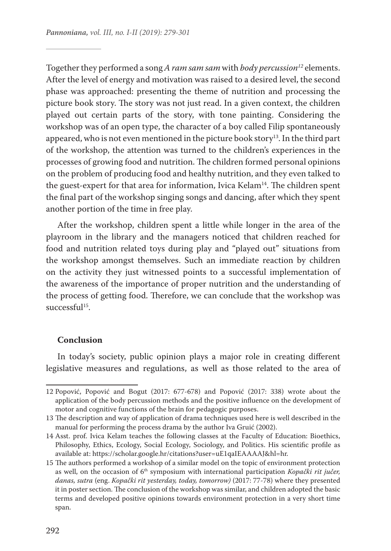Together they performed a song *A ram sam sam* with *body percussion<sup>12</sup>* elements. After the level of energy and motivation was raised to a desired level, the second phase was approached: presenting the theme of nutrition and processing the picture book story. The story was not just read. In a given context, the children played out certain parts of the story, with tone painting. Considering the workshop was of an open type, the character of a boy called Filip spontaneously appeared, who is not even mentioned in the picture book story<sup>13</sup>. In the third part of the workshop, the attention was turned to the children's experiences in the processes of growing food and nutrition. The children formed personal opinions on the problem of producing food and healthy nutrition, and they even talked to the guest-expert for that area for information, Ivica Kelam<sup>14</sup>. The children spent the final part of the workshop singing songs and dancing, after which they spent another portion of the time in free play.

After the workshop, children spent a little while longer in the area of the playroom in the library and the managers noticed that children reached for food and nutrition related toys during play and "played out" situations from the workshop amongst themselves. Such an immediate reaction by children on the activity they just witnessed points to a successful implementation of the awareness of the importance of proper nutrition and the understanding of the process of getting food. Therefore, we can conclude that the workshop was  $s$ uccessful<sup>15</sup>.

#### **Conclusion**

In today's society, public opinion plays a major role in creating different legislative measures and regulations, as well as those related to the area of

<sup>12</sup> Popović, Popović and Bogut (2017: 677-678) and Popović (2017: 338) wrote about the application of the body percussion methods and the positive influence on the development of motor and cognitive functions of the brain for pedagogic purposes.

<sup>13</sup> The description and way of application of drama techniques used here is well described in the manual for performing the process drama by the author Iva Gruić (2002).

<sup>14</sup> Asst. prof. Ivica Kelam teaches the following classes at the Faculty of Education: Bioethics, Philosophy, Ethics, Ecology, Social Ecology, Sociology, and Politics. His scientific profile as available at: https://scholar.google.hr/citations?user=uE1qaIEAAAAJ&hl=hr.

<sup>15</sup> The authors performed a workshop of a similar model on the topic of environment protection as well, on the occasion of 6<sup>th</sup> symposium with international participation *Kopački rit jučer*, *danas, sutra* (eng. *Kopački rit yesterday, today, tomorrow)* (2017: 77-78) where they presented it in poster section. The conclusion of the workshop was similar, and children adopted the basic terms and developed positive opinions towards environment protection in a very short time span.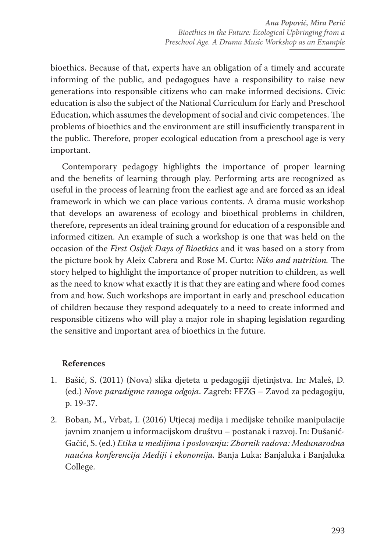bioethics. Because of that, experts have an obligation of a timely and accurate informing of the public, and pedagogues have a responsibility to raise new generations into responsible citizens who can make informed decisions. Civic education is also the subject of the National Curriculum for Early and Preschool Education, which assumes the development of social and civic competences. The problems of bioethics and the environment are still insufficiently transparent in the public. Therefore, proper ecological education from a preschool age is very important.

Contemporary pedagogy highlights the importance of proper learning and the benefits of learning through play. Performing arts are recognized as useful in the process of learning from the earliest age and are forced as an ideal framework in which we can place various contents. A drama music workshop that develops an awareness of ecology and bioethical problems in children, therefore, represents an ideal training ground for education of a responsible and informed citizen. An example of such a workshop is one that was held on the occasion of the *First Osijek Days of Bioethics* and it was based on a story from the picture book by Aleix Cabrera and Rose M. Curto: *Niko and nutrition.* The story helped to highlight the importance of proper nutrition to children, as well as the need to know what exactly it is that they are eating and where food comes from and how. Such workshops are important in early and preschool education of children because they respond adequately to a need to create informed and responsible citizens who will play a major role in shaping legislation regarding the sensitive and important area of bioethics in the future.

# **References**

- 1. Bašić, S. (2011) (Nova) slika djeteta u pedagogiji djetinjstva. In: Maleš, D. (ed.) *Nove paradigme ranoga odgoja*. Zagreb: FFZG – Zavod za pedagogiju, p. 19-37.
- 2. Boban, M., Vrbat, I. (2016) Utjecaj medija i medijske tehnike manipulacije javnim znanjem u informacijskom društvu – postanak i razvoj. In: Dušanić-Gačić, S. (ed.) *Etika u medijima i poslovanju: Zbornik radova: Međunarodna naučna konferencija Mediji i ekonomija.* Banja Luka: Banjaluka i Banjaluka College.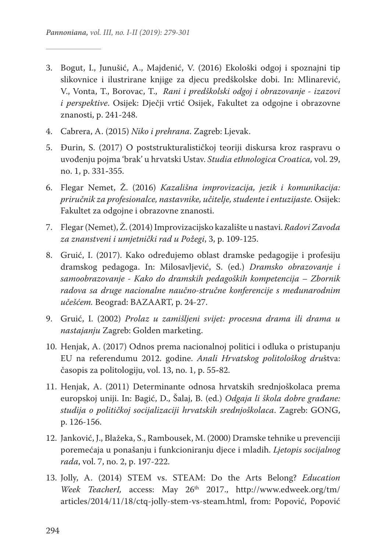- 3. Bogut, I., Junušić, A., Majdenić, V. (2016) Ekološki odgoj i spoznajni tip slikovnice i ilustrirane knjige za djecu predškolske dobi. In: Mlinarević, V., Vonta, T., Borovac, T., *Rani i predškolski odgoj i obrazovanje - izazovi i perspektive*. Osijek: Dječji vrtić Osijek, Fakultet za odgojne i obrazovne znanosti, p. 241-248.
- 4. Cabrera, A. (2015) *Niko i prehrana*. Zagreb: Ljevak.
- 5. Đurin, S. (2017) O poststrukturalističkoj teoriji diskursa kroz raspravu o uvođenju pojma 'brak' u hrvatski Ustav. *Studia ethnologica Croatica,* vol. 29, no. 1, p. 331**-**355.
- 6. Flegar Nemet, Ž. (2016) *Kazališna improvizacija, jezik i komunikacija: priručnik za profesionalce, nastavnike, učitelje, studente i entuzijaste.* Osijek: Fakultet za odgojne i obrazovne znanosti.
- 7. Flegar (Nemet), Ž. (2014) Improvizacijsko kazalište u nastavi. *Radovi Zavoda za znanstveni i umjetnički rad u Požegi*, 3, p. 109-125.
- 8. Gruić, I. (2017). Kako određujemo oblast dramske pedagogije i profesiju dramskog pedagoga. In: Milosavljević, S. (ed.) *Dramsko obrazovanje i samoobrazovanje - Kako do dramskih pedagoških kompetencija – Zbornik radova sa druge nacionalne naučno-stručne konferencije s međunarodnim učešćem.* Beograd: BAZAART, p. 24-27.
- 9. Gruić, I. (2002) *Prolaz u zamišljeni svijet: procesna drama ili drama u nastajanju* Zagreb: Golden marketing.
- 10. Henjak, A. (2017) Odnos prema nacionalnoj politici i odluka o pristupanju EU na referendumu 2012. godine. *Anali Hrvatskog politološkog dru*štva: časopis za politologiju, vol. 13, no. 1, p. 55**-**82.
- 11. Henjak, A. (2011) Determinante odnosa hrvatskih srednjoškolaca prema europskoj uniji. In: Bagić, D., Šalaj, B. (ed.) *Odgaja li škola dobre građane: studija o političkoj socijalizaciji hrvatskih srednjoškolaca*. Zagreb: GONG, p. 126-156.
- 12. Janković, J., Blažeka, S., Rambousek, M. (2000) Dramske tehnike u prevenciji poremećaja u ponašanju i funkcioniranju djece i mladih. *Ljetopis socijalnog rada*, vol. 7, no. 2, p. 197-222.
- 13. Jolly, A. (2014) STEM vs. STEAM: Do the Arts Belong? *Education Week TeacherI,* access: May 26th 2017., http://www.edweek.org/tm/ articles/2014/11/18/ctq-jolly-stem-vs-steam.html, from: Popović, Popović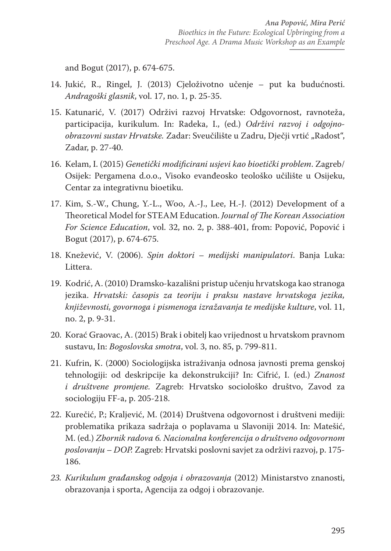and Bogut (2017), p. 674-675.

- 14. Jukić, R., Ringel, J. (2013) Cjeloživotno učenje put ka budućnosti. *Andragoški glasnik*, vol. 17, no. 1, p. 25-35.
- 15. Katunarić, V. (2017) Održivi razvoj Hrvatske: Odgovornost, ravnoteža, participacija, kurikulum. In: Radeka, I., (ed.) *Održivi razvoj i odgojno*obrazovni sustav Hrvatske. Zadar: Sveučilište u Zadru, Dječji vrtić "Radost", Zadar, p. 27-40.
- 16. Kelam, I. (2015) *Genetički modificirani usjevi kao bioetički problem*. Zagreb/ Osijek: Pergamena d.o.o., Visoko evanđeosko teološko učilište u Osijeku, Centar za integrativnu bioetiku.
- 17. Kim, S.-W., Chung, Y.-L., Woo, A.-J., Lee, H.-J. (2012) Development of a Theoretical Model for STEAM Education. *Journal of The Korean Association For Science Education*, vol. 32, no. 2, p. 388-401, from: Popović, Popović i Bogut (2017), p. 674-675.
- 18. Knežević, V. (2006). *Spin doktori medijski manipulatori*. Banja Luka: Littera.
- 19. Kodrić, A. (2010) Dramsko-kazališni pristup učenju hrvatskoga kao stranoga jezika. *Hrvatski: časopis za teoriju i praksu nastave hrvatskoga jezika, književnosti, govornoga i pismenoga izražavanja te medijske kulture*, vol. 11, no. 2, p. 9-31.
- 20. Korać Graovac, A. (2015) Brak i obitelj kao vrijednost u hrvatskom pravnom sustavu, In: *Bogoslovska smotra*, vol. 3, no. 85, p. 799-811.
- 21. Kufrin, K. (2000) Sociologijska istraživanja odnosa javnosti prema genskoj tehnologiji: od deskripcije ka dekonstrukciji? In: Cifrić, I. (ed.) *Znanost i društvene promjene.* Zagreb: Hrvatsko sociološko društvo, Zavod za sociologiju FF-a, p. 205-218.
- 22. Kurečić, P.; Kraljević, M. (2014) Društvena odgovornost i društveni mediji: problematika prikaza sadržaja o poplavama u Slavoniji 2014. In: Matešić, M. (ed.) *Zbornik radova 6. Nacionalna konferencija o društveno odgovornom poslovanju – DOP.* Zagreb: Hrvatski poslovni savjet za održivi razvoj, p. 175- 186.
- *23. Kurikulum građanskog odgoja i obrazovanja* (2012) Ministarstvo znanosti, obrazovanja i sporta, Agencija za odgoj i obrazovanje.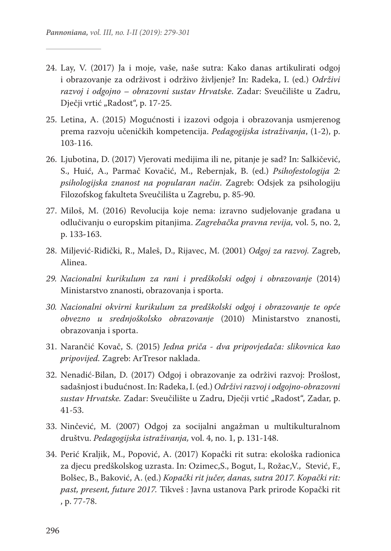- 24. Lay, V. (2017) Ja i moje, vaše, naše sutra: Kako danas artikulirati odgoj i obrazovanje za održivost i održivo življenje? In: Radeka, I. (ed.) *Održivi razvoj i odgojno – obrazovni sustav Hrvatske*. Zadar: Sveučilište u Zadru, Dječji vrtić "Radost", p. 17-25.
- 25. Letina, A. (2015) Mogućnosti i izazovi odgoja i obrazovanja usmjerenog prema razvoju učeničkih kompetencija. *Pedagogijska istraživanja*, (1-2), p. 103-116.
- 26. Ljubotina, D. (2017) Vjerovati medijima ili ne, pitanje je sad? In: Salkičević, S., Huić, A., Parmač Kovačić, M., Rebernjak, B. (ed.) *Psihofestologija 2: psihologijska znanost na popularan način*. Zagreb: Odsjek za psihologiju Filozofskog fakulteta Sveučilišta u Zagrebu, p. 85-90.
- 27. Miloš, M. (2016) Revolucija koje nema: izravno sudjelovanje građana u odlučivanju o europskim pitanjima. *Zagrebačka pravna revija,* vol. 5, no. 2, p. 133**-**163.
- 28. Miljević-Riđički, R., Maleš, D., Rijavec, M. (2001) *Odgoj za razvoj.* Zagreb, Alinea.
- *29. Nacionalni kurikulum za rani i predškolski odgoj i obrazovanje* (2014) Ministarstvo znanosti, obrazovanja i sporta.
- *30. Nacionalni okvirni kurikulum za predškolski odgoj i obrazovanje te opće obvezno u srednjoškolsko obrazovanje* (2010) Ministarstvo znanosti, obrazovanja i sporta.
- 31. Narančić Kovač, S. (2015) *Jedna priča dva pripovjedača: slikovnica kao pripovijed.* Zagreb: ArTresor naklada.
- 32. Nenadić-Bilan, D. (2017) Odgoj i obrazovanje za održivi razvoj: Prošlost, sadašnjost i budućnost. In: Radeka, I. (ed.) *Održivi razvoj i odgojno-obrazovni*  sustav Hrvatske. Zadar: Sveučilište u Zadru, Dječji vrtić "Radost", Zadar, p. 41-53.
- 33. Ninčević, M. (2007) Odgoj za socijalni angažman u multikulturalnom društvu. *Pedagogijska istraživanja,* vol. 4, no. 1, p. 131-148.
- 34. Perić Kraljik, M., Popović, A. (2017) Kopački rit sutra: ekološka radionica za djecu predškolskog uzrasta. In: Ozimec,S., Bogut, I., Rožac,V., Stević, F., Bolšec, B., Baković, A. (ed.) *Kopački rit jučer, danas, sutra 2017. Kopački rit: past, present, future 2017.* Tikveš : Javna ustanova Park prirode Kopački rit , p. 77-78.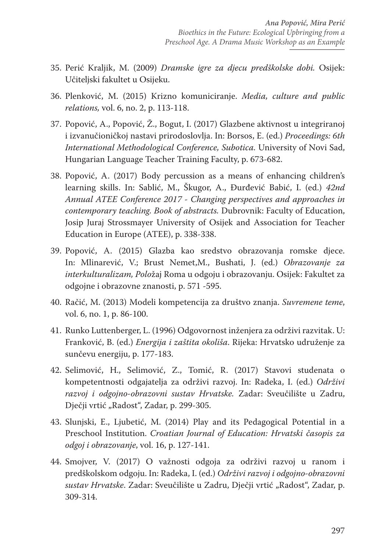- 35. Perić Kraljik, M. (2009) *Dramske igre za djecu predškolske dobi.* Osijek: Učiteljski fakultet u Osijeku.
- 36. Plenković, M. (2015) Krizno komuniciranje. *Media, culture and public relations,* vol. 6, no. 2, p. 113-118.
- 37. Popović, A., Popović, Ž., Bogut, I. (2017) Glazbene aktivnost u integriranoj i izvanučioničkoj nastavi prirodoslovlja. In: Borsos, E. (ed.) *Proceedings: 6th International Methodological Conference, Subotica.* University of Novi Sad, Hungarian Language Teacher Training Faculty, p. 673-682.
- 38. Popović, A. (2017) Body percussion as a means of enhancing children's learning skills. In: Sablić, M., Škugor, A., Đurđević Babić, I. (ed.) *42nd Annual ATEE Conference 2017 - Changing perspectives and approaches in contemporary teaching. Book of abstracts.* Dubrovnik: Faculty of Education, Josip Juraj Strossmayer University of Osijek and Association for Teacher Education in Europe (ATEE), p. 338-338.
- 39. Popović, A. (2015) Glazba kao sredstvo obrazovanja romske djece. In: Mlinarević, V.; Brust Nemet,M., Bushati, J. (ed.) *Obrazovanje za interkulturalizam, Polo*žaj Roma u odgoju i obrazovanju. Osijek: Fakultet za odgojne i obrazovne znanosti, p. 571 -595.
- 40. Račić, M. (2013) Modeli kompetencija za društvo znanja. *Suvremene teme*, vol. 6, no. 1, p. 86-100.
- 41. Runko Luttenberger, L. (1996) Odgovornost inženjera za održivi razvitak. U: Franković, B. (ed.) *Energija i zaštita okoliša*. Rijeka: Hrvatsko udruženje za sunčevu energiju, p. 177-183.
- 42. Selimović, H., Selimović, Z., Tomić, R. (2017) Stavovi studenata o kompetentnosti odgajatelja za održivi razvoj. In: Radeka, I. (ed.) *Održivi razvoj i odgojno-obrazovni sustav Hrvatske.* Zadar: Sveučilište u Zadru, Dječji vrtić "Radost", Zadar, p. 299-305.
- 43. Slunjski, E., Ljubetić, M. (2014) Play and its Pedagogical Potential in a Preschool Institution. *Croatian Journal of Education: Hrvatski časopis za odgoj i obrazovanje*, vol. 16, p. 127-141.
- 44. Smojver, V. (2017) O važnosti odgoja za održivi razvoj u ranom i predškolskom odgoju. In: Radeka, I. (ed.) *Održivi razvoj i odgojno-obrazovni*  sustav Hrvatske. Zadar: Sveučilište u Zadru, Dječji vrtić "Radost", Zadar, p. 309-314.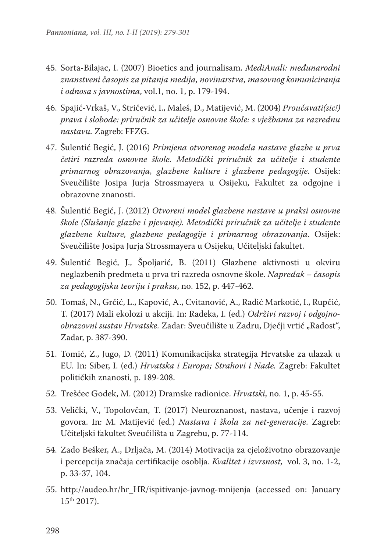- 45. Sorta-Bilajac, I. (2007) Bioetics and journalisam. *MediAnali: međunarodni znanstveni časopis za pitanja medija, novinarstva, masovnog komuniciranja i odnosa s javnostima*, vol.1, no. 1, p. 179-194.
- 46. Spajić-Vrkaš, V., Stričević, I., Maleš, D., Matijević, M. (2004) *Proučavati(sic!) prava i slobode: priručnik za učitelje osnovne škole: s vježbama za razrednu nastavu.* Zagreb: FFZG.
- 47. Šulentić Begić, J. (2016) *Primjena otvorenog modela nastave glazbe u prva četiri razreda osnovne škole. Metodički priručnik za učitelje i studente primarnog obrazovanja, glazbene kulture i glazbene pedagogije*. Osijek: Sveučilište Josipa Jurja Strossmayera u Osijeku, Fakultet za odgojne i obrazovne znanosti.
- 48. Šulentić Begić, J. (2012) *Otvoreni model glazbene nastave u praksi osnovne škole (Slušanje glazbe i pjevanje). Metodički priručnik za učitelje i studente glazbene kulture, glazbene pedagogije i primarnog obrazovanja*. Osijek: Sveučilište Josipa Jurja Strossmayera u Osijeku, Učiteljski fakultet.
- 49. Šulentić Begić, J., Špoljarić, B. (2011) Glazbene aktivnosti u okviru neglazbenih predmeta u prva tri razreda osnovne škole. *Napredak – časopis za pedagogijsku teoriju i praksu*, no. 152, p. 447-462.
- 50. Tomaš, N., Grčić, L., Kapović, A., Cvitanović, A., Radić Markotić, I., Rupčić, T. (2017) Mali ekolozi u akciji. In: Radeka, I. (ed.) *Održivi razvoj i odgojno*obrazovni sustav Hrvatske. Zadar: Sveučilište u Zadru, Dječji vrtić "Radost", Zadar, p. 387-390.
- 51. Tomić, Z., Jugo, D. (2011) Komunikacijska strategija Hrvatske za ulazak u EU. In: Siber, I. (ed.) *Hrvatska i Europa; Strahovi i Nade.* Zagreb: Fakultet političkih znanosti, p. 189-208.
- 52. Trešćec Godek, M. (2012) Dramske radionice. *Hrvatski*, no. 1, p. 45-55.
- 53. Velički, V., Topolovčan, T. (2017) Neuroznanost, nastava, učenje i razvoj govora. In: M. Matijević (ed.) *Nastava i škola za net-generacije*. Zagreb: Učiteljski fakultet Sveučilišta u Zagrebu, p. 77-114.
- 54. Zado Bešker, A., Drljača, M. (2014) Motivacija za cjeloživotno obrazovanje i percepcija značaja certifikacije osoblja. *Kvalitet i izvrsnost,* vol. 3, no. 1-2, p. 33-37, 104.
- 55. http://audeo.hr/hr\_HR/ispitivanje-javnog-mnijenja (accessed on: January 15th 2017).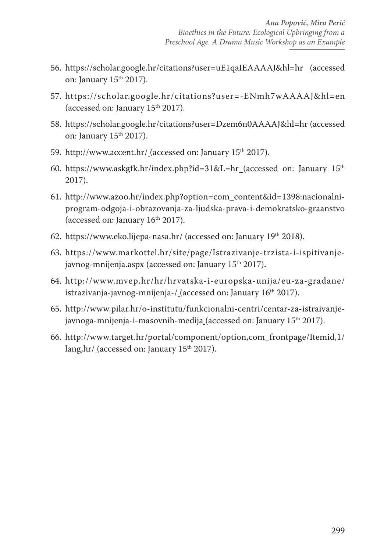- 56. https://scholar.google.hr/citations?user=uE1qaIEAAAAJ&hl=hr (accessed on: January 15th 2017).
- 57. https://scholar.google.hr/citations?user=-ENmh7wAAAAJ&hl=en (accessed on: January  $15<sup>th</sup> 2017$ ).
- 58. https://scholar.google.hr/citations?user=Dzem6n0AAAAJ&hl=hr (accessed on: January  $15<sup>th</sup> 2017$ ).
- 59. http://www.accent.hr/ (accessed on: January 15<sup>th</sup> 2017).
- 60. https://www.askgfk.hr/index.php?id=31&L=hr (accessed on: January  $15<sup>th</sup>$ 2017).
- 61. http://www.azoo.hr/index.php?option=com\_content&id=1398:nacionalniprogram-odgoja-i-obrazovanja-za-ljudska-prava-i-demokratsko-graanstvo (accessed on: January 16<sup>th</sup> 2017).
- 62. https://www.eko.lijepa-nasa.hr/ (accessed on: January 19th 2018).
- 63. https://www.markottel.hr/site/page/Istrazivanje-trzista-i-ispitivanjejavnog-mnijenja.aspx (accessed on: January 15<sup>th</sup> 2017).
- 64. http://www.mvep.hr/hr/hrvatska-i-europska-unija/eu-za-gradane/ istrazivanja-javnog-mnijenja-/ (accessed on: January 16<sup>th</sup> 2017).
- 65. http://www.pilar.hr/o-institutu/funkcionalni-centri/centar-za-istraivanjejavnoga-mnijenja-i-masovnih-medija (accessed on: January 15<sup>th</sup> 2017).
- 66. http://www.target.hr/portal/component/option,com\_frontpage/Itemid,1/ lang, hr/ (accessed on: January  $15<sup>th</sup> 2017$ ).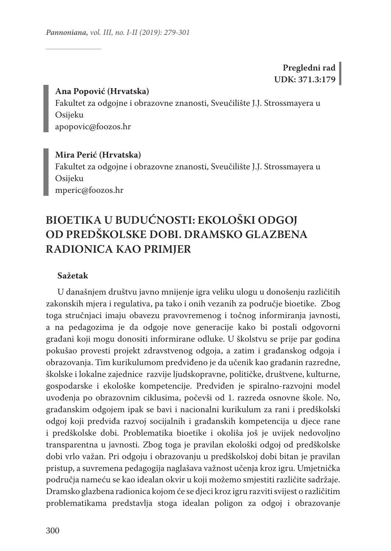# **Pregledni rad UDK: 371.3:179**

### **Ana Popović (Hrvatska)**

Fakultet za odgojne i obrazovne znanosti, Sveučilište J.J. Strossmayera u Osijeku apopovic@foozos.hr

# **Mira Perić (Hrvatska)**

Fakultet za odgojne i obrazovne znanosti, Sveučilište J.J. Strossmayera u Osijeku mperic@foozos.hr

# **BIOETIKA U BUDUĆNOSTI: EKOLOŠKI ODGOJ OD PREDŠKOLSKE DOBI. DRAMSKO GLAZBENA RADIONICA KAO PRIMJER**

### **Sažetak**

U današnjem društvu javno mnijenje igra veliku ulogu u donošenju različitih zakonskih mjera i regulativa, pa tako i onih vezanih za područje bioetike. Zbog toga stručnjaci imaju obavezu pravovremenog i točnog informiranja javnosti, a na pedagozima je da odgoje nove generacije kako bi postali odgovorni građani koji mogu donositi informirane odluke. U školstvu se prije par godina pokušao provesti projekt zdravstvenog odgoja, a zatim i građanskog odgoja i obrazovanja. Tim kurikulumom predviđeno je da učenik kao građanin razredne, školske i lokalne zajednice razvije ljudskopravne, političke, društvene, kulturne, gospodarske i ekološke kompetencije. Predviđen je spiralno-razvojni model uvođenja po obrazovnim ciklusima, počevši od 1. razreda osnovne škole. No, građanskim odgojem ipak se bavi i nacionalni kurikulum za rani i predškolski odgoj koji predviđa razvoj socijalnih i građanskih kompetencija u djece rane i predškolske dobi. Problematika bioetike i okoliša još je uvijek nedovoljno transparentna u javnosti. Zbog toga je pravilan ekološki odgoj od predškolske dobi vrlo važan. Pri odgoju i obrazovanju u predškolskoj dobi bitan je pravilan pristup, a suvremena pedagogija naglašava važnost učenja kroz igru. Umjetnička područja nameću se kao idealan okvir u koji možemo smjestiti različite sadržaje. Dramsko glazbena radionica kojom će se djeci kroz igru razviti svijest o različitim problematikama predstavlja stoga idealan poligon za odgoj i obrazovanje